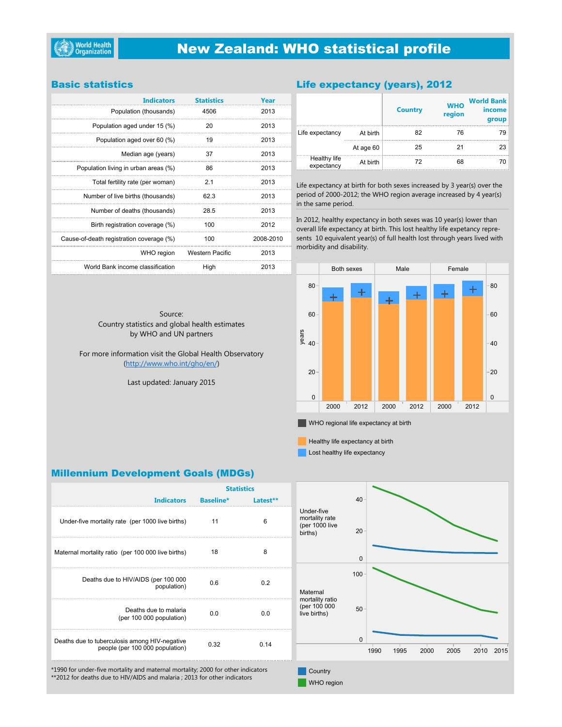# **New Zealand: WHO statistical profile**

### **Basic statistics**

| <b>Indicators</b>                        | <b>Statistics</b> | Year      |
|------------------------------------------|-------------------|-----------|
| Population (thousands)                   | 4506              | 2013      |
| Population aged under 15 (%)             | 20                | 2013      |
| Population aged over 60 (%)              | 19                | 2013      |
| Median age (years)                       | 37                | 2013      |
| Population living in urban areas (%)     | 86                | 2013      |
| Total fertility rate (per woman)         | 2.1               | 2013      |
| Number of live births (thousands)        | 62.3              | 2013      |
| Number of deaths (thousands)             | 28.5              | 2013      |
| Birth registration coverage (%)          | 100               | 2012      |
| Cause-of-death registration coverage (%) | 100               | 2008-2010 |
| WHO region                               | Western Pacific   | 2013      |
| World Bank income classification         | High              | 2013      |

### Life expectancy (years), 2012

|                            |           | <b>Country</b> | <b>WHO</b><br>region | <b>World Bank</b><br>income<br>group |
|----------------------------|-----------|----------------|----------------------|--------------------------------------|
| Life expectancy            | At birth  | 82             | 76                   | 79                                   |
|                            | At age 60 | 25             | 21                   | 23                                   |
| Healthy life<br>expectancy | At birth  | 72             | 68                   | 70                                   |

Life expectancy at birth for both sexes increased by 3 year(s) over the period of 2000-2012; the WHO region average increased by 4 year(s) in the same period.

In 2012, healthy expectancy in both sexes was 10 year(s) lower than overall life expectancy at birth. This lost healthy life expetancy represents 10 equivalent year(s) of full health lost through years lived with morbidity and disability.



 $\blacksquare$  WHO regional life expectancy at birth

Healthy life expectancy at birth

Lost healthy life expectancy

**WHO** region

### **Millennium Development Goals (MDGs)**

|                                                                                  | <b>Statistics</b> |           |                                                           |    |
|----------------------------------------------------------------------------------|-------------------|-----------|-----------------------------------------------------------|----|
| <b>Indicators</b>                                                                | <b>Baseline*</b>  | l atest** |                                                           |    |
| Under-five mortality rate (per 1000 live births)                                 | 11                | 6         | Under-five<br>mortality rate<br>(per 1000 live<br>births) |    |
| Maternal mortality ratio (per 100 000 live births)                               | 18                | 8         |                                                           |    |
| Deaths due to HIV/AIDS (per 100 000<br>population)                               | 0.6               | 0.2       | Maternal                                                  | 10 |
| Deaths due to malaria<br>(per 100 000 population)                                | 0.0               | 0.0       | mortality ratio<br>(per 100 000<br>live births)           | 5  |
| Deaths due to tuberculosis among HIV-negative<br>people (per 100 000 population) | 0.32              | 0.14      |                                                           |    |
| *1990 for under-five mortality and maternal mortality; 2000 for other indicators |                   |           | Country                                                   |    |

\*\*2012 for deaths due to HIV/AIDS and malaria ; 2013 for other indicators

1990 1995 2000 2005 2010 2015 0  $20$ 40  $0$ 50  $\overline{0}$ **Country** 

Country statistics and global health estimates by WHO and UN partners

Source:

For more information visit the Global Health Observatory (http://www.who.int/gho/en/)

Last updated: January 2015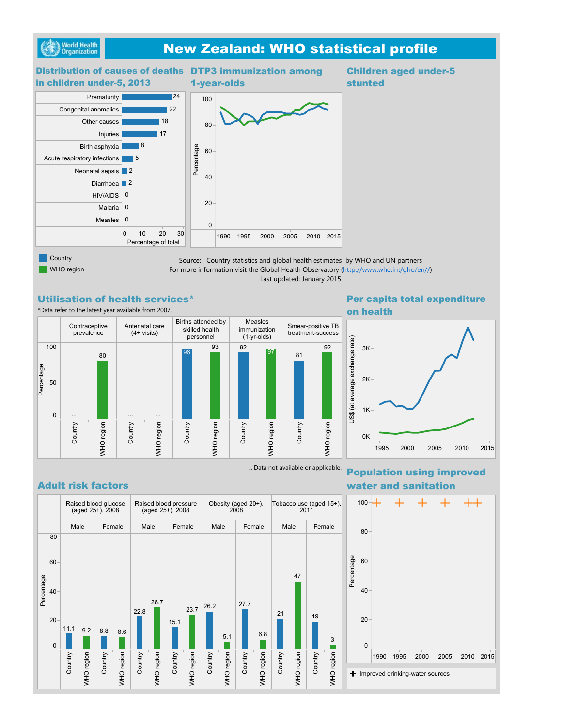

# **New Zealand: WHO statistical profile**

### 1990 1995 2000 2005 2010 2015  $\Omega$ 20 40 60 80 100 DTP3 immunization among<br>1-year-olds<br>00-<br>80-<br>Bender on the contract of the contract of the contract of the contract of the contract of the contract of the contract of the contract of the contract of the contract of the cont 1-year-olds **Children aged under-5** stunted 0 10 20 30 Percentage of total Prematurity Congenital anomalies Other causes Injuries Birth asphyxia Acute respiratory infections Neonatal sepsis 2 Diarrhoea **2** HIV/AIDS 0 Malaria 0 Measles 18 | 17 24 22 5 8  $\Omega$ Distribution of causes of deaths DTP3 immunization among in children under-5, 2013

**Country** WHO region

Source: Country statistics and global health estimates by WHO and UN partners For more information visit the Global Health Observatory (http://www.who.int/gho/en//) Last updated: January 2015

### **Utilisation of health services\***

\*Data refer to the latest year available from 2007.



3K

on health

1995 2000 2005 2010 2015 0K 1K 2K Per capita total expenditure<br>
on health<br>  $\overline{\mathbf{e}}$ <br>  $\overline{\mathbf{e}}$ <br>  $\overline{\mathbf{e}}$ <br>  $\overline{\mathbf{e}}$ <br>  $\overline{\mathbf{e}}$ <br>  $\overline{\mathbf{e}}$ <br>  $\overline{\mathbf{e}}$ <br>  $\overline{\mathbf{e}}$ <br>  $\overline{\mathbf{e}}$ <br>  $\overline{\mathbf{e}}$ <br>  $\overline{\mathbf{e}}$ <br>  $\overline{\mathbf{e}}$ <br>  $\overline{\mathbf{e}}$ <br>  $\overline{\mathbf{e}}$ 

## **Adult risk factors**



... Data not available or applicable. **Population using improved** water and sanitation